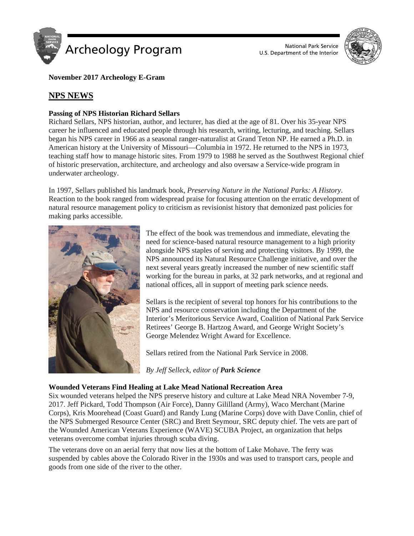

U.S. Department of the Interior



**November 2017 Archeology E-Gram**

# **NPS NEWS**

## **Passing of NPS Historian Richard Sellars**

Richard Sellars, NPS historian, author, and lecturer, has died at the age of 81. Over his 35-year NPS career he influenced and educated people through his research, writing, lecturing, and teaching. Sellars began his NPS career in 1966 as a seasonal ranger-naturalist at Grand Teton NP. He earned a Ph.D. in American history at the University of Missouri—Columbia in 1972. He returned to the NPS in 1973, teaching staff how to manage historic sites. From 1979 to 1988 he served as the Southwest Regional chief of historic preservation, architecture, and archeology and also oversaw a Service-wide program in underwater archeology.

In 1997, Sellars published his landmark book, *Preserving Nature in the National Parks: A History*. Reaction to the book ranged from widespread praise for focusing attention on the erratic development of natural resource management policy to criticism as revisionist history that demonized past policies for making parks accessible.



The effect of the book was tremendous and immediate, elevating the need for science-based natural resource management to a high priority alongside NPS staples of serving and protecting visitors. By 1999, the NPS announced its Natural Resource Challenge initiative, and over the next several years greatly increased the number of new scientific staff working for the bureau in parks, at 32 park networks, and at regional and national offices, all in support of meeting park science needs.

Sellars is the recipient of several top honors for his contributions to the NPS and resource conservation including the Department of the Interior's Meritorious Service Award, Coalition of National Park Service Retirees' George B. Hartzog Award, and George Wright Society's George Melendez Wright Award for Excellence.

Sellars retired from the National Park Service in 2008.

*By Jeff Selleck, editor of Park Science*

## **Wounded Veterans Find Healing at Lake Mead National Recreation Area**

Six wounded veterans helped the NPS preserve history and culture at Lake Mead NRA November 7-9, 2017. Jeff Pickard, Todd Thompson (Air Force), Danny Gililland (Army), Waco Merchant (Marine Corps), Kris Moorehead (Coast Guard) and Randy Lung (Marine Corps) dove with Dave Conlin, chief of the NPS Submerged Resource Center (SRC) and Brett Seymour, SRC deputy chief. The vets are part of the Wounded American Veterans Experience (WAVE) SCUBA Project, an organization that helps veterans overcome combat injuries through scuba diving.

The veterans dove on an aerial ferry that now lies at the bottom of Lake Mohave. The ferry was suspended by cables above the Colorado River in the 1930s and was used to transport cars, people and goods from one side of the river to the other.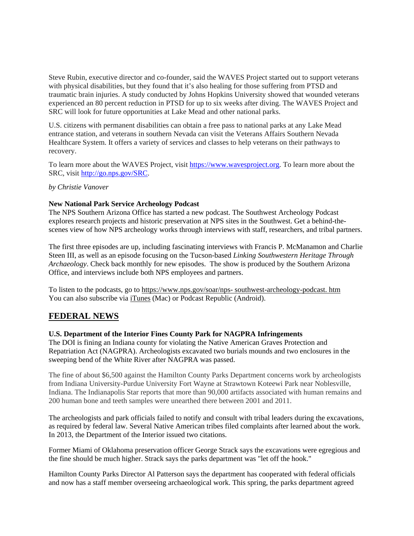Steve Rubin, executive director and co-founder, said the WAVES Project started out to support veterans with physical disabilities, but they found that it's also healing for those suffering from PTSD and traumatic brain injuries. A study conducted by Johns Hopkins University showed that wounded veterans experienced an 80 percent reduction in PTSD for up to six weeks after diving. The WAVES Project and SRC will look for future opportunities at Lake Mead and other national parks.

U.S. citizens with permanent disabilities can obtain a free pass to national parks at any Lake Mead entrance station, and veterans in southern Nevada can visit the Veterans Affairs Southern Nevada Healthcare System. It offers a variety of services and classes to help veterans on their pathways to recovery.

To learn more about the WAVES Project, visit [https://www.wavesproject.org.](https://www.google.com/url?q=https%3A%2F%2Fwww.wavesproject.org%2F&sa=D&sntz=1&usg=AFQjCNF7XnYrfAhZaumZyVxJJjoINOqXBg) To learn more about the SRC, visit [http://go.nps.gov/SRC.](http://www.google.com/url?q=http%3A%2F%2Fgo.nps.gov%2FSRC&sa=D&sntz=1&usg=AFQjCNEvdbS7SvOICp_h7NeICtECnYoheg)

*by Christie Vanover*

## **New National Park Service Archeology Podcast**

The NPS Southern Arizona Office has started a new podcast. The Southwest Archeology Podcast explores research projects and historic preservation at NPS sites in the Southwest. Get a behind-thescenes view of how NPS archeology works through interviews with staff, researchers, and tribal partners.

The first three episodes are up, including fascinating interviews with Francis P. McManamon and Charlie Steen III, as well as an episode focusing on the Tucson-based *Linking Southwestern Heritage Through Archaeology*. Check back monthly for new episodes. The show is produced by the Southern Arizona Office, and interviews include both NPS employees and partners.

To listen to the podcasts, go to https://www.nps.gov/soar/nps- [southwest-archeology-podcast. htm](https://archaeologysouthwest.us2.list-manage.com/track/click?u=325da4675407ecc40a85a9db0&id=c7f832f657&e=98c13eb871) You can also subscribe via [iTunes](https://itunes.apple.com/us/podcast/nps-southwest-archeology/id1295157885?mt=2) (Mac) or Podcast Republic (Android).

## **FEDERAL NEWS**

## **U.S. Department of the Interior Fines County Park for NAGPRA Infringements**

The DOI is fining an Indiana county for violating the Native American Graves Protection and Repatriation Act (NAGPRA). Archeologists excavated two burials mounds and two enclosures in the sweeping bend of the White River after NAGPRA was passed.

The fine of about \$6,500 against the Hamilton County Parks Department concerns work by archeologists from Indiana University-Purdue University Fort Wayne at Strawtown Koteewi Park near Noblesville, Indiana. The Indianapolis Star reports that more than 90,000 artifacts associated with human remains and 200 human bone and teeth samples were unearthed there between 2001 and 2011.

The archeologists and park officials failed to notify and consult with tribal leaders during the excavations, as required by federal law. Several Native American tribes filed complaints after learned about the work. In 2013, the Department of the Interior issued two citations.

Former Miami of Oklahoma preservation officer George Strack says the excavations were egregious and the fine should be much higher. Strack says the parks department was "let off the hook."

Hamilton County Parks Director Al Patterson says the department has cooperated with federal officials and now has a staff member overseeing archaeological work. This spring, the parks department agreed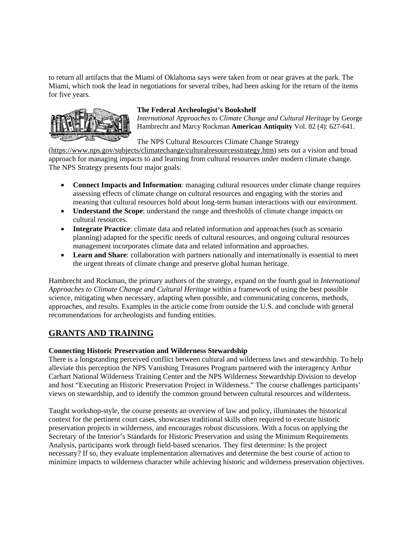to return all artifacts that the Miami of Oklahoma says were taken from or near graves at the park. The Miami, which took the lead in negotiations for several tribes, had been asking for the return of the items for five years.



## **The Federal Archeologist's Bookshelf**

*International Approaches to Climate Change and Cultural Heritage* by George Hambrecht and Marcy Rockman **American Antiquity** Vol. 82 (4): 627-641.

The NPS Cultural Resources Climate Change Strategy

[\(https://www.nps.gov/subjects/climatechange/culturalresourcesstrategy.htm\)](https://www.nps.gov/subjects/climatechange/culturalresourcesstrategy.htm) sets out a vision and broad approach for managing impacts to and learning from cultural resources under modern climate change. The NPS Strategy presents four major goals:

- **Connect Impacts and Information**: managing cultural resources under climate change requires assessing effects of climate change on cultural resources and engaging with the stories and meaning that cultural resources hold about long-term human interactions with our environment.
- **Understand the Scope**: understand the range and thresholds of climate change impacts on cultural resources.
- **Integrate Practice**: climate data and related information and approaches (such as scenario planning) adapted for the specific needs of cultural resources, and ongoing cultural resources management incorporates climate data and related information and approaches.
- **Learn and Share**: collaboration with partners nationally and internationally is essential to meet the urgent threats of climate change and preserve global human heritage.

Hambrecht and Rockman, the primary authors of the strategy, expand on the fourth goal in *International Approaches to Climate Change and Cultural Heritage* within a framework of using the best possible science, mitigating when necessary, adapting when possible, and communicating concerns, methods, approaches, and results. Examples in the article come from outside the U.S. and conclude with general recommendations for archeologists and funding entities.

# **GRANTS AND TRAINING**

## **Connecting Historic Preservation and Wilderness Stewardship**

There is a longstanding perceived conflict between cultural and wilderness laws and stewardship. To help alleviate this perception the NPS Vanishing Treasures Program partnered with the interagency Arthur Carhart National Wilderness Training Center and the NPS Wilderness Stewardship Division to develop and host "Executing an Historic Preservation Project in Wilderness." The course challenges participants' views on stewardship, and to identify the common ground between cultural resources and wilderness.

Taught workshop-style, the course presents an overview of law and policy, illuminates the historical context for the pertinent court cases, showcases traditional skills often required to execute historic preservation projects in wilderness, and encourages robust discussions. With a focus on applying the Secretary of the Interior's Standards for Historic Preservation and using the Minimum Requirements Analysis, participants work through field-based scenarios. They first determine: Is the project necessary? If so, they evaluate implementation alternatives and determine the best course of action to minimize impacts to wilderness character while achieving historic and wilderness preservation objectives.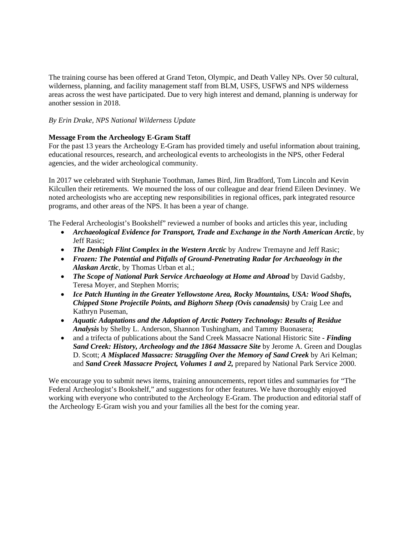The training course has been offered at Grand Teton, Olympic, and Death Valley NPs. Over 50 cultural, wilderness, planning, and facility management staff from BLM, USFS, USFWS and NPS wilderness areas across the west have participated. Due to very high interest and demand, planning is underway for another session in 2018.

## *By Erin Drake, NPS National Wilderness Update*

## **Message From the Archeology E-Gram Staff**

For the past 13 years the Archeology E-Gram has provided timely and useful information about training, educational resources, research, and archeological events to archeologists in the NPS, other Federal agencies, and the wider archeological community.

In 2017 we celebrated with Stephanie Toothman, James Bird, Jim Bradford, Tom Lincoln and Kevin Kilcullen their retirements. We mourned the loss of our colleague and dear friend Eileen Devinney. We noted archeologists who are accepting new responsibilities in regional offices, park integrated resource programs, and other areas of the NPS. It has been a year of change.

The Federal Archeologist's Bookshelf" reviewed a number of books and articles this year, including

- *Archaeological Evidence for Transport, Trade and Exchange in the North American Arctic*, by Jeff Rasic;
- *The Denbigh Flint Complex in the Western Arctic* by Andrew Tremayne and Jeff Rasic;
- *Frozen: The Potential and Pitfalls of Ground-Penetrating Radar for Archaeology in the Alaskan Arctic*, by Thomas Urban et al.;
- *The Scope of National Park Service Archaeology at Home and Abroad* by David Gadsby, Teresa Moyer, and Stephen Morris;
- *Ice Patch Hunting in the Greater Yellowstone Area, Rocky Mountains, USA: Wood Shafts, Chipped Stone Projectile Points, and Bighorn Sheep (Ovis canadensis)* by Craig Lee and Kathryn Puseman,
- *Aquatic Adaptations and the Adoption of Arctic Pottery Technology: Results of Residue Analysis* by Shelby L. Anderson, Shannon Tushingham, and Tammy Buonasera;
- and a trifecta of publications about the Sand Creek Massacre National Historic Site *- Finding Sand Creek: History, Archeology and the 1864 Massacre Site* by Jerome A. Green and Douglas D. Scott; *A Misplaced Massacre: Struggling Over the Memory of Sand Creek* by Ari Kelman; and *Sand Creek Massacre Project, Volumes 1 and 2,* prepared by National Park Service 2000.

We encourage you to submit news items, training announcements, report titles and summaries for "The Federal Archeologist's Bookshelf," and suggestions for other features. We have thoroughly enjoyed working with everyone who contributed to the Archeology E-Gram. The production and editorial staff of the Archeology E-Gram wish you and your families all the best for the coming year.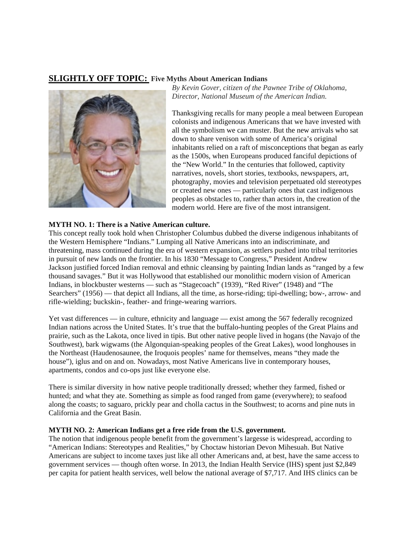# **SLIGHTLY OFF TOPIC: Five Myths About American Indians**



*By Kevin Gover, citizen of the Pawnee Tribe of Oklahoma, Director, National Museum of the American Indian.*

Thanksgiving recalls for many people a meal between European colonists and indigenous Americans that we have invested with all the symbolism we can muster. But the new arrivals who sat down to share venison with some of America's original inhabitants relied on a raft of misconceptions that began as early as the 1500s, when Europeans produced fanciful depictions of the "New World." In the centuries that followed, captivity narratives, novels, short stories, textbooks, newspapers, art, photography, movies and television perpetuated old stereotypes or created new ones — particularly ones that cast indigenous peoples as obstacles to, rather than actors in, the creation of the modern world. Here are five of the most intransigent.

#### **MYTH NO. 1: There is a Native American culture.**

This concept really took hold when Christopher Columbus dubbed the diverse indigenous inhabitants of the Western Hemisphere "Indians." Lumping all Native Americans into an indiscriminate, and threatening, mass continued during the era of western expansion, as settlers pushed into tribal territories in pursuit of new lands on the frontier. In his 1830 "Message to Congress," President Andrew Jackson justified forced Indian removal and ethnic cleansing by painting Indian lands as "ranged by a few thousand savages." But it was Hollywood that established our monolithic modern vision of American Indians, in blockbuster westerns — such as "Stagecoach" (1939), "Red River" (1948) and "The Searchers" (1956) — that depict all Indians, all the time, as horse-riding; tipi-dwelling; bow-, arrow- and rifle-wielding; buckskin-, feather- and fringe-wearing warriors.

Yet vast differences — in culture, ethnicity and language — exist among the 567 federally recognized Indian nations across the United States. It's true that the buffalo-hunting peoples of the Great Plains and prairie, such as the Lakota, once lived in tipis. But other native people lived in hogans (the Navajo of the Southwest), bark wigwams (the Algonquian-speaking peoples of the Great Lakes), wood longhouses in the Northeast (Haudenosaunee, the Iroquois peoples' name for themselves, means "they made the house"), iglus and on and on. Nowadays, most Native Americans live in contemporary houses, apartments, condos and co-ops just like everyone else.

There is similar diversity in how native people traditionally dressed; whether they farmed, fished or hunted; and what they ate. Something as simple as food ranged from game (everywhere); to seafood along the coasts; to saguaro, prickly pear and cholla cactus in the Southwest; to acorns and pine nuts in California and the Great Basin.

## **MYTH NO. 2: American Indians get a free ride from the U.S. government.**

The notion that indigenous people benefit from the government's largesse is widespread, according to "American Indians: Stereotypes and Realities," by Choctaw historian Devon Mihesuah. But Native Americans are subject to income taxes just like all other Americans and, at best, have the same access to government services — though often worse. In 2013, the Indian Health Service (IHS) spent just \$2,849 per capita for patient health services, well below the national average of \$7,717. And IHS clinics can be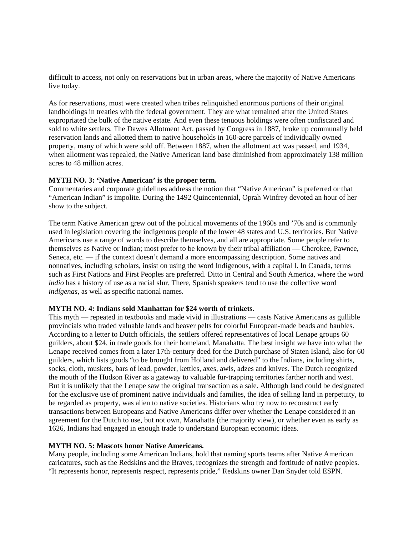difficult to access, not only on reservations but in urban areas, where the majority of Native Americans live today.

As for reservations, most were created when tribes relinquished enormous portions of their original landholdings in treaties with the federal government. They are what remained after the United States expropriated the bulk of the native estate. And even these tenuous holdings were often confiscated and sold to white settlers. The Dawes Allotment Act, passed by Congress in 1887, broke up communally held reservation lands and allotted them to native households in 160-acre parcels of individually owned property, many of which were sold off. Between 1887, when the allotment act was passed, and 1934, when allotment was repealed, the Native American land base diminished from approximately 138 million acres to 48 million acres.

#### **MYTH NO. 3: 'Native American' is the proper term.**

Commentaries and corporate guidelines address the notion that "Native American" is preferred or that "American Indian" is impolite. During the 1492 Quincentennial, Oprah Winfrey devoted an hour of her show to the subject.

The term Native American grew out of the political movements of the 1960s and '70s and is commonly used in legislation covering the indigenous people of the lower 48 states and U.S. territories. But Native Americans use a range of words to describe themselves, and all are appropriate. Some people refer to themselves as Native or Indian; most prefer to be known by their tribal affiliation — Cherokee, Pawnee, Seneca, etc. — if the context doesn't demand a more encompassing description. Some natives and nonnatives, including scholars, insist on using the word Indigenous, with a capital I. In Canada, terms such as First Nations and First Peoples are preferred. Ditto in Central and South America, where the word *indio* has a history of use as a racial slur. There, Spanish speakers tend to use the collective word *indígenas*, as well as specific national names.

#### **MYTH NO. 4: Indians sold Manhattan for \$24 worth of trinkets.**

This myth — repeated in textbooks and made vivid in illustrations — casts Native Americans as gullible provincials who traded valuable lands and beaver pelts for colorful European-made beads and baubles. According to a letter to Dutch officials, the settlers offered representatives of local Lenape groups 60 guilders, about \$24, in trade goods for their homeland, Manahatta. The best insight we have into what the Lenape received comes from a later 17th-century deed for the Dutch purchase of Staten Island, also for 60 guilders, which lists goods "to be brought from Holland and delivered" to the Indians, including shirts, socks, cloth, muskets, bars of lead, powder, kettles, axes, awls, adzes and knives. The Dutch recognized the mouth of the Hudson River as a gateway to valuable fur-trapping territories farther north and west. But it is unlikely that the Lenape saw the original transaction as a sale. Although land could be designated for the exclusive use of prominent native individuals and families, the idea of selling land in perpetuity, to be regarded as property, was alien to native societies. Historians who try now to reconstruct early transactions between Europeans and Native Americans differ over whether the Lenape considered it an agreement for the Dutch to use, but not own, Manahatta (the majority view), or whether even as early as 1626, Indians had engaged in enough trade to understand European economic ideas.

#### **MYTH NO. 5: Mascots honor Native Americans.**

Many people, including some American Indians, hold that naming sports teams after Native American caricatures, such as the Redskins and the Braves, recognizes the strength and fortitude of native peoples. "It represents honor, represents respect, represents pride," Redskins owner Dan Snyder told ESPN.